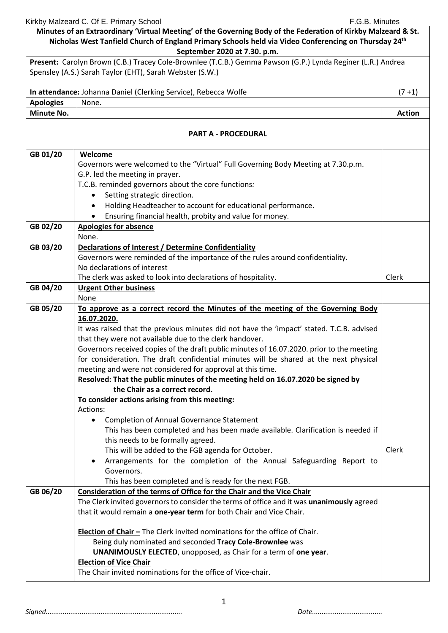Kirkby Malzeard C. Of E. Primary School **F.G.B. Minutes** F.G.B. Minutes **Minutes of an Extraordinary 'Virtual Meeting' of the Governing Body of the Federation of Kirkby Malzeard & St. Nicholas West Tanfield Church of England Primary Schools held via Video Conferencing on Thursday 24th September 2020 at 7.30. p.m. Present:** Carolyn Brown (C.B.) Tracey Cole-Brownlee (T.C.B.) Gemma Pawson (G.P.) Lynda Reginer (L.R.) Andrea Spensley (A.S.) Sarah Taylor (EHT), Sarah Webster (S.W.) **In attendance:** Johanna Daniel (Clerking Service), Rebecca Wolfe (7 +1) **Apologies** None. **Minute No.**  $\begin{array}{|c|c|c|c|c|}\hline \text{Action} & \text{Action} \end{array}$ **PART A - PROCEDURAL GB 01/20 Welcome**  Governors were welcomed to the "Virtual" Full Governing Body Meeting at 7.30.p.m. G.P. led the meeting in prayer. T.C.B. reminded governors about the core functions*:* Setting strategic direction. • Holding Headteacher to account for educational performance. • Ensuring financial health, probity and value for money. **GB 02/20 Apologies for absence**  None. **GB 03/20 Declarations of Interest / Determine Confidentiality** Governors were reminded of the importance of the rules around confidentiality. No declarations of interest The clerk was asked to look into declarations of hospitality.  $\vert$  Clerk **GB 04/20 Urgent Other business** None **GB 05/20 To approve as a correct record the Minutes of the meeting of the Governing Body 16.07.2020.** It was raised that the previous minutes did not have the 'impact' stated. T.C.B. advised that they were not available due to the clerk handover. Governors received copies of the draft public minutes of 16.07.2020. prior to the meeting for consideration. The draft confidential minutes will be shared at the next physical meeting and were not considered for approval at this time. **Resolved: That the public minutes of the meeting held on 16.07.2020 be signed by the Chair as a correct record. To consider actions arising from this meeting:** Actions: • Completion of Annual Governance Statement This has been completed and has been made available. Clarification is needed if this needs to be formally agreed. This will be added to the FGB agenda for October. • Arrangements for the completion of the Annual Safeguarding Report to Governors. This has been completed and is ready for the next FGB. Clerk **GB 06/20 Consideration of the terms of Office for the Chair and the Vice Chair** The Clerk invited governors to consider the terms of office and it was **unanimously** agreed that it would remain a **one-year term** for both Chair and Vice Chair. **Election of Chair -** The Clerk invited nominations for the office of Chair. Being duly nominated and seconded **Tracy Cole-Brownlee** was  **UNANIMOUSLY ELECTED**, unopposed, as Chair for a term of **one year**. **Election of Vice Chair**  The Chair invited nominations for the office of Vice-chair.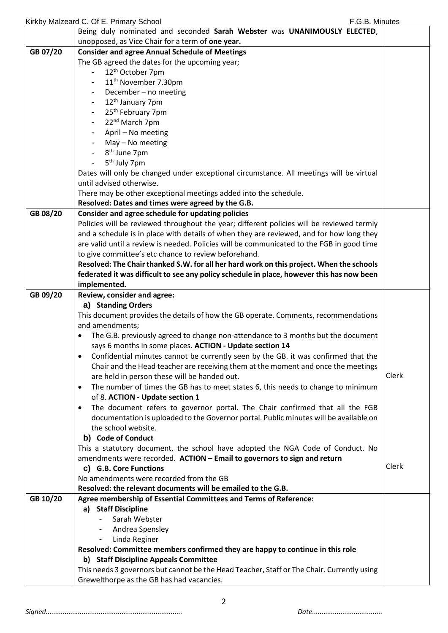|          | Kirkby Malzeard C. Of E. Primary School<br>F.G.B. Minutes                                     |       |
|----------|-----------------------------------------------------------------------------------------------|-------|
|          | Being duly nominated and seconded Sarah Webster was UNANIMOUSLY ELECTED,                      |       |
|          | unopposed, as Vice Chair for a term of one year.                                              |       |
| GB 07/20 | <b>Consider and agree Annual Schedule of Meetings</b>                                         |       |
|          | The GB agreed the dates for the upcoming year;                                                |       |
|          | 12 <sup>th</sup> October 7pm                                                                  |       |
|          | 11 <sup>th</sup> November 7.30pm                                                              |       |
|          | December - no meeting                                                                         |       |
|          | 12 <sup>th</sup> January 7pm                                                                  |       |
|          | 25 <sup>th</sup> February 7pm                                                                 |       |
|          | 22 <sup>nd</sup> March 7pm                                                                    |       |
|          | April - No meeting                                                                            |       |
|          | May - No meeting                                                                              |       |
|          | 8 <sup>th</sup> June 7pm                                                                      |       |
|          | 5 <sup>th</sup> July 7pm                                                                      |       |
|          | Dates will only be changed under exceptional circumstance. All meetings will be virtual       |       |
|          | until advised otherwise.                                                                      |       |
|          | There may be other exceptional meetings added into the schedule.                              |       |
|          | Resolved: Dates and times were agreed by the G.B.                                             |       |
| GB 08/20 | Consider and agree schedule for updating policies                                             |       |
|          | Policies will be reviewed throughout the year; different policies will be reviewed termly     |       |
|          | and a schedule is in place with details of when they are reviewed, and for how long they      |       |
|          | are valid until a review is needed. Policies will be communicated to the FGB in good time     |       |
|          | to give committee's etc chance to review beforehand.                                          |       |
|          | Resolved: The Chair thanked S.W. for all her hard work on this project. When the schools      |       |
|          | federated it was difficult to see any policy schedule in place, however this has now been     |       |
|          | implemented.                                                                                  |       |
| GB 09/20 | Review, consider and agree:                                                                   |       |
|          | a) Standing Orders                                                                            |       |
|          | This document provides the details of how the GB operate. Comments, recommendations           |       |
|          | and amendments;                                                                               |       |
|          | The G.B. previously agreed to change non-attendance to 3 months but the document<br>$\bullet$ |       |
|          | says 6 months in some places. ACTION - Update section 14                                      |       |
|          | Confidential minutes cannot be currently seen by the GB. it was confirmed that the            |       |
|          | Chair and the Head teacher are receiving them at the moment and once the meetings             |       |
|          | are held in person these will be handed out.                                                  | Clerk |
|          | The number of times the GB has to meet states 6, this needs to change to minimum<br>$\bullet$ |       |
|          | of 8. ACTION - Update section 1                                                               |       |
|          | The document refers to governor portal. The Chair confirmed that all the FGB<br>$\bullet$     |       |
|          | documentation is uploaded to the Governor portal. Public minutes will be available on         |       |
|          | the school website.                                                                           |       |
|          | b) Code of Conduct                                                                            |       |
|          | This a statutory document, the school have adopted the NGA Code of Conduct. No                |       |
|          | amendments were recorded. ACTION - Email to governors to sign and return                      |       |
|          | c) G.B. Core Functions                                                                        | Clerk |
|          | No amendments were recorded from the GB                                                       |       |
|          | Resolved: the relevant documents will be emailed to the G.B.                                  |       |
| GB 10/20 | Agree membership of Essential Committees and Terms of Reference:                              |       |
|          | a) Staff Discipline                                                                           |       |
|          | Sarah Webster                                                                                 |       |
|          | Andrea Spensley                                                                               |       |
|          | Linda Reginer<br>$\overline{\phantom{a}}$                                                     |       |
|          | Resolved: Committee members confirmed they are happy to continue in this role                 |       |
|          | b) Staff Discipline Appeals Committee                                                         |       |
|          | This needs 3 governors but cannot be the Head Teacher, Staff or The Chair. Currently using    |       |
|          | Grewelthorpe as the GB has had vacancies.                                                     |       |
|          |                                                                                               |       |

*Signed........................................................................ Date.....................................*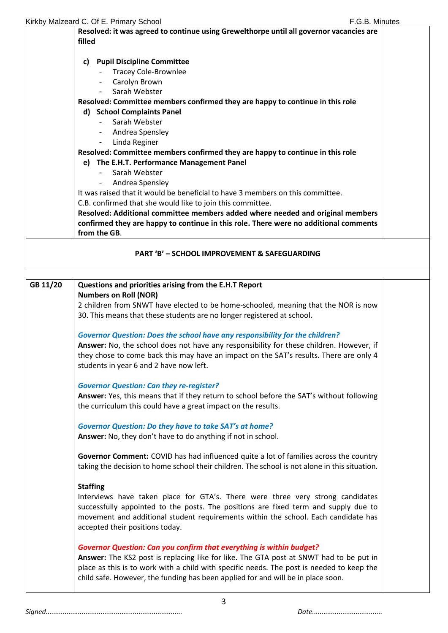| Kirkby Malzeard C. Of E. Primary School |                                                                                                                                                                               |  |
|-----------------------------------------|-------------------------------------------------------------------------------------------------------------------------------------------------------------------------------|--|
|                                         | Resolved: it was agreed to continue using Grewelthorpe until all governor vacancies are                                                                                       |  |
|                                         | filled                                                                                                                                                                        |  |
|                                         |                                                                                                                                                                               |  |
|                                         | <b>Pupil Discipline Committee</b><br>C)                                                                                                                                       |  |
|                                         | <b>Tracey Cole-Brownlee</b>                                                                                                                                                   |  |
|                                         | - Carolyn Brown                                                                                                                                                               |  |
|                                         | Sarah Webster                                                                                                                                                                 |  |
|                                         | Resolved: Committee members confirmed they are happy to continue in this role                                                                                                 |  |
|                                         | d) School Complaints Panel                                                                                                                                                    |  |
|                                         | Sarah Webster                                                                                                                                                                 |  |
|                                         | Andrea Spensley                                                                                                                                                               |  |
|                                         | Linda Reginer<br>$\blacksquare$                                                                                                                                               |  |
|                                         | Resolved: Committee members confirmed they are happy to continue in this role                                                                                                 |  |
|                                         | e) The E.H.T. Performance Management Panel<br>Sarah Webster                                                                                                                   |  |
|                                         |                                                                                                                                                                               |  |
|                                         | Andrea Spensley<br>$\blacksquare$<br>It was raised that it would be beneficial to have 3 members on this committee.                                                           |  |
|                                         | C.B. confirmed that she would like to join this committee.                                                                                                                    |  |
|                                         | Resolved: Additional committee members added where needed and original members                                                                                                |  |
|                                         | confirmed they are happy to continue in this role. There were no additional comments                                                                                          |  |
|                                         | from the GB.                                                                                                                                                                  |  |
|                                         |                                                                                                                                                                               |  |
|                                         | <b>PART 'B' - SCHOOL IMPROVEMENT &amp; SAFEGUARDING</b>                                                                                                                       |  |
|                                         |                                                                                                                                                                               |  |
| GB 11/20                                | Questions and priorities arising from the E.H.T Report                                                                                                                        |  |
|                                         |                                                                                                                                                                               |  |
|                                         | <b>Numbers on Roll (NOR)</b>                                                                                                                                                  |  |
|                                         | 2 children from SNWT have elected to be home-schooled, meaning that the NOR is now                                                                                            |  |
|                                         | 30. This means that these students are no longer registered at school.                                                                                                        |  |
|                                         |                                                                                                                                                                               |  |
|                                         | <b>Governor Question: Does the school have any responsibility for the children?</b>                                                                                           |  |
|                                         | Answer: No, the school does not have any responsibility for these children. However, if                                                                                       |  |
|                                         | they chose to come back this may have an impact on the SAT's results. There are only 4                                                                                        |  |
|                                         | students in year 6 and 2 have now left.                                                                                                                                       |  |
|                                         | <b>Governor Question: Can they re-register?</b>                                                                                                                               |  |
|                                         | Answer: Yes, this means that if they return to school before the SAT's without following                                                                                      |  |
|                                         | the curriculum this could have a great impact on the results.                                                                                                                 |  |
|                                         |                                                                                                                                                                               |  |
|                                         | <b>Governor Question: Do they have to take SAT's at home?</b>                                                                                                                 |  |
|                                         | Answer: No, they don't have to do anything if not in school.                                                                                                                  |  |
|                                         | Governor Comment: COVID has had influenced quite a lot of families across the country                                                                                         |  |
|                                         | taking the decision to home school their children. The school is not alone in this situation.                                                                                 |  |
|                                         |                                                                                                                                                                               |  |
|                                         | <b>Staffing</b>                                                                                                                                                               |  |
|                                         | Interviews have taken place for GTA's. There were three very strong candidates                                                                                                |  |
|                                         | successfully appointed to the posts. The positions are fixed term and supply due to                                                                                           |  |
|                                         | movement and additional student requirements within the school. Each candidate has<br>accepted their positions today.                                                         |  |
|                                         |                                                                                                                                                                               |  |
|                                         | <b>Governor Question: Can you confirm that everything is within budget?</b>                                                                                                   |  |
|                                         | Answer: The KS2 post is replacing like for like. The GTA post at SNWT had to be put in                                                                                        |  |
|                                         | place as this is to work with a child with specific needs. The post is needed to keep the<br>child safe. However, the funding has been applied for and will be in place soon. |  |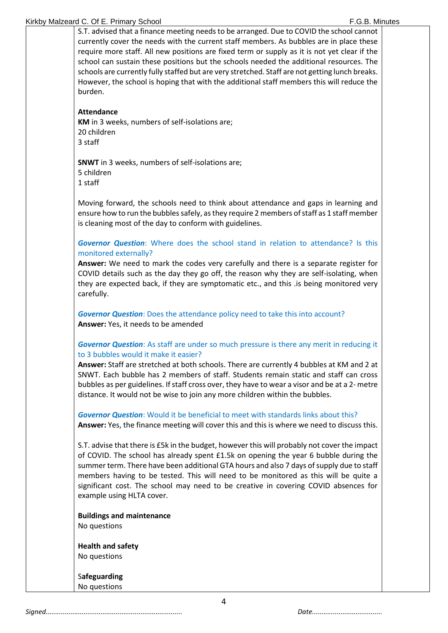#### Kirkby Malzeard C. Of E. Primary School **F.G.B. Minutes** F.G.B. Minutes

S.T. advised that a finance meeting needs to be arranged. Due to COVID the school cannot currently cover the needs with the current staff members. As bubbles are in place these require more staff. All new positions are fixed term or supply as it is not yet clear if the school can sustain these positions but the schools needed the additional resources. The schools are currently fully staffed but are very stretched. Staff are not getting lunch breaks. However, the school is hoping that with the additional staff members this will reduce the burden.

## **Attendance**

**KM** in 3 weeks, numbers of self-isolations are; 20 children 3 staff

**SNWT** in 3 weeks, numbers of self-isolations are; 5 children 1 staff

Moving forward, the schools need to think about attendance and gaps in learning and ensure how to run the bubbles safely, as they require 2 members of staff as 1 staff member is cleaning most of the day to conform with guidelines.

# *Governor Question*: Where does the school stand in relation to attendance? Is this monitored externally?

**Answer:** We need to mark the codes very carefully and there is a separate register for COVID details such as the day they go off, the reason why they are self-isolating, when they are expected back, if they are symptomatic etc., and this .is being monitored very carefully.

*Governor Question*: Does the attendance policy need to take this into account? **Answer:** Yes, it needs to be amended

## *Governor Question*: As staff are under so much pressure is there any merit in reducing it to 3 bubbles would it make it easier?

**Answer:** Staff are stretched at both schools. There are currently 4 bubbles at KM and 2 at SNWT. Each bubble has 2 members of staff. Students remain static and staff can cross bubbles as per guidelines. If staff cross over, they have to wear a visor and be at a 2- metre distance. It would not be wise to join any more children within the bubbles.

*Governor Question*: Would it be beneficial to meet with standards links about this? **Answer:** Yes, the finance meeting will cover this and this is where we need to discuss this.

S.T. advise that there is £5k in the budget, however this will probably not cover the impact of COVID. The school has already spent £1.5k on opening the year 6 bubble during the summer term. There have been additional GTA hours and also 7 days of supply due to staff members having to be tested. This will need to be monitored as this will be quite a significant cost. The school may need to be creative in covering COVID absences for example using HLTA cover.

**Buildings and maintenance** No questions

**Health and safety** No questions

S**afeguarding** No questions

*Signed........................................................................ Date.....................................*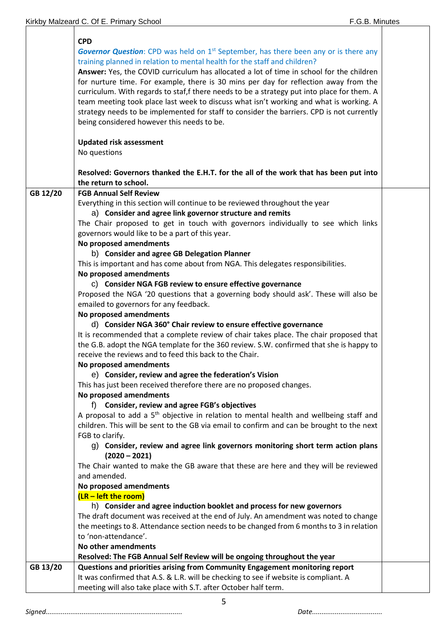|          | <b>CPD</b><br><b>Governor Question:</b> CPD was held on 1 <sup>st</sup> September, has there been any or is there any<br>training planned in relation to mental health for the staff and children?<br>Answer: Yes, the COVID curriculum has allocated a lot of time in school for the children<br>for nurture time. For example, there is 30 mins per day for reflection away from the<br>curriculum. With regards to staf, f there needs to be a strategy put into place for them. A<br>team meeting took place last week to discuss what isn't working and what is working. A<br>strategy needs to be implemented for staff to consider the barriers. CPD is not currently<br>being considered however this needs to be.<br><b>Updated risk assessment</b><br>No questions |  |
|----------|------------------------------------------------------------------------------------------------------------------------------------------------------------------------------------------------------------------------------------------------------------------------------------------------------------------------------------------------------------------------------------------------------------------------------------------------------------------------------------------------------------------------------------------------------------------------------------------------------------------------------------------------------------------------------------------------------------------------------------------------------------------------------|--|
|          | Resolved: Governors thanked the E.H.T. for the all of the work that has been put into<br>the return to school.                                                                                                                                                                                                                                                                                                                                                                                                                                                                                                                                                                                                                                                               |  |
| GB 12/20 | <b>FGB Annual Self Review</b>                                                                                                                                                                                                                                                                                                                                                                                                                                                                                                                                                                                                                                                                                                                                                |  |
|          | Everything in this section will continue to be reviewed throughout the year<br>a) Consider and agree link governor structure and remits<br>The Chair proposed to get in touch with governors individually to see which links<br>governors would like to be a part of this year.                                                                                                                                                                                                                                                                                                                                                                                                                                                                                              |  |
|          | No proposed amendments                                                                                                                                                                                                                                                                                                                                                                                                                                                                                                                                                                                                                                                                                                                                                       |  |
|          | b) Consider and agree GB Delegation Planner                                                                                                                                                                                                                                                                                                                                                                                                                                                                                                                                                                                                                                                                                                                                  |  |
|          | This is important and has come about from NGA. This delegates responsibilities.                                                                                                                                                                                                                                                                                                                                                                                                                                                                                                                                                                                                                                                                                              |  |
|          | No proposed amendments                                                                                                                                                                                                                                                                                                                                                                                                                                                                                                                                                                                                                                                                                                                                                       |  |
|          | C) Consider NGA FGB review to ensure effective governance                                                                                                                                                                                                                                                                                                                                                                                                                                                                                                                                                                                                                                                                                                                    |  |
|          | Proposed the NGA '20 questions that a governing body should ask'. These will also be                                                                                                                                                                                                                                                                                                                                                                                                                                                                                                                                                                                                                                                                                         |  |
|          | emailed to governors for any feedback.                                                                                                                                                                                                                                                                                                                                                                                                                                                                                                                                                                                                                                                                                                                                       |  |
|          | No proposed amendments                                                                                                                                                                                                                                                                                                                                                                                                                                                                                                                                                                                                                                                                                                                                                       |  |
|          | d) Consider NGA 360° Chair review to ensure effective governance                                                                                                                                                                                                                                                                                                                                                                                                                                                                                                                                                                                                                                                                                                             |  |
|          | It is recommended that a complete review of chair takes place. The chair proposed that                                                                                                                                                                                                                                                                                                                                                                                                                                                                                                                                                                                                                                                                                       |  |
|          | the G.B. adopt the NGA template for the 360 review. S.W. confirmed that she is happy to                                                                                                                                                                                                                                                                                                                                                                                                                                                                                                                                                                                                                                                                                      |  |
|          | receive the reviews and to feed this back to the Chair.                                                                                                                                                                                                                                                                                                                                                                                                                                                                                                                                                                                                                                                                                                                      |  |
|          | No proposed amendments                                                                                                                                                                                                                                                                                                                                                                                                                                                                                                                                                                                                                                                                                                                                                       |  |
|          | e) Consider, review and agree the federation's Vision                                                                                                                                                                                                                                                                                                                                                                                                                                                                                                                                                                                                                                                                                                                        |  |
|          | This has just been received therefore there are no proposed changes.<br>No proposed amendments                                                                                                                                                                                                                                                                                                                                                                                                                                                                                                                                                                                                                                                                               |  |
|          | f) Consider, review and agree FGB's objectives                                                                                                                                                                                                                                                                                                                                                                                                                                                                                                                                                                                                                                                                                                                               |  |
|          | A proposal to add a 5 <sup>th</sup> objective in relation to mental health and wellbeing staff and                                                                                                                                                                                                                                                                                                                                                                                                                                                                                                                                                                                                                                                                           |  |
|          | children. This will be sent to the GB via email to confirm and can be brought to the next                                                                                                                                                                                                                                                                                                                                                                                                                                                                                                                                                                                                                                                                                    |  |
|          | FGB to clarify.                                                                                                                                                                                                                                                                                                                                                                                                                                                                                                                                                                                                                                                                                                                                                              |  |
|          | g) Consider, review and agree link governors monitoring short term action plans                                                                                                                                                                                                                                                                                                                                                                                                                                                                                                                                                                                                                                                                                              |  |
|          | $(2020 - 2021)$                                                                                                                                                                                                                                                                                                                                                                                                                                                                                                                                                                                                                                                                                                                                                              |  |
|          | The Chair wanted to make the GB aware that these are here and they will be reviewed                                                                                                                                                                                                                                                                                                                                                                                                                                                                                                                                                                                                                                                                                          |  |
|          | and amended.                                                                                                                                                                                                                                                                                                                                                                                                                                                                                                                                                                                                                                                                                                                                                                 |  |
|          | No proposed amendments                                                                                                                                                                                                                                                                                                                                                                                                                                                                                                                                                                                                                                                                                                                                                       |  |
|          | $(LR - left$ the room)                                                                                                                                                                                                                                                                                                                                                                                                                                                                                                                                                                                                                                                                                                                                                       |  |
|          | h) Consider and agree induction booklet and process for new governors                                                                                                                                                                                                                                                                                                                                                                                                                                                                                                                                                                                                                                                                                                        |  |
|          | The draft document was received at the end of July. An amendment was noted to change                                                                                                                                                                                                                                                                                                                                                                                                                                                                                                                                                                                                                                                                                         |  |
|          | the meetings to 8. Attendance section needs to be changed from 6 months to 3 in relation                                                                                                                                                                                                                                                                                                                                                                                                                                                                                                                                                                                                                                                                                     |  |
|          | to 'non-attendance'.                                                                                                                                                                                                                                                                                                                                                                                                                                                                                                                                                                                                                                                                                                                                                         |  |
|          | No other amendments                                                                                                                                                                                                                                                                                                                                                                                                                                                                                                                                                                                                                                                                                                                                                          |  |
|          | Resolved: The FGB Annual Self Review will be ongoing throughout the year                                                                                                                                                                                                                                                                                                                                                                                                                                                                                                                                                                                                                                                                                                     |  |
| GB 13/20 | Questions and priorities arising from Community Engagement monitoring report                                                                                                                                                                                                                                                                                                                                                                                                                                                                                                                                                                                                                                                                                                 |  |
|          | It was confirmed that A.S. & L.R. will be checking to see if website is compliant. A                                                                                                                                                                                                                                                                                                                                                                                                                                                                                                                                                                                                                                                                                         |  |
|          | meeting will also take place with S.T. after October half term.                                                                                                                                                                                                                                                                                                                                                                                                                                                                                                                                                                                                                                                                                                              |  |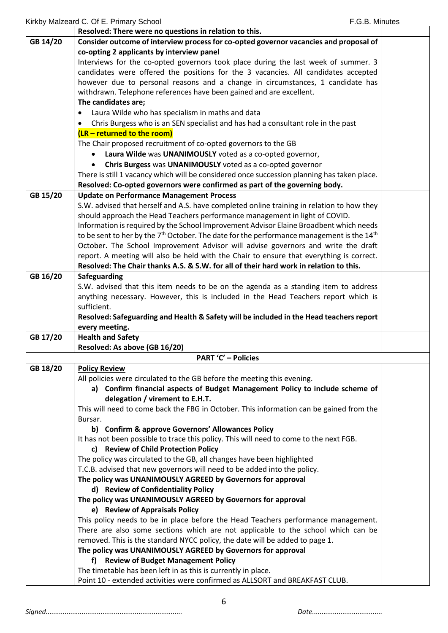|          | Resolved: There were no questions in relation to this.                                                                                                                             |  |
|----------|------------------------------------------------------------------------------------------------------------------------------------------------------------------------------------|--|
| GB 14/20 | Consider outcome of interview process for co-opted governor vacancies and proposal of                                                                                              |  |
|          | co-opting 2 applicants by interview panel                                                                                                                                          |  |
|          | Interviews for the co-opted governors took place during the last week of summer. 3                                                                                                 |  |
|          | candidates were offered the positions for the 3 vacancies. All candidates accepted                                                                                                 |  |
|          | however due to personal reasons and a change in circumstances, 1 candidate has                                                                                                     |  |
|          | withdrawn. Telephone references have been gained and are excellent.                                                                                                                |  |
|          | The candidates are;                                                                                                                                                                |  |
|          | Laura Wilde who has specialism in maths and data<br>$\bullet$                                                                                                                      |  |
|          | Chris Burgess who is an SEN specialist and has had a consultant role in the past<br>$\bullet$                                                                                      |  |
|          | $(LR - returned to the room)$                                                                                                                                                      |  |
|          | The Chair proposed recruitment of co-opted governors to the GB                                                                                                                     |  |
|          | Laura Wilde was UNANIMOUSLY voted as a co-opted governor,                                                                                                                          |  |
|          | Chris Burgess was UNANIMOUSLY voted as a co-opted governor                                                                                                                         |  |
|          | There is still 1 vacancy which will be considered once succession planning has taken place.                                                                                        |  |
|          | Resolved: Co-opted governors were confirmed as part of the governing body.                                                                                                         |  |
| GB 15/20 | <b>Update on Performance Management Process</b>                                                                                                                                    |  |
|          | S.W. advised that herself and A.S. have completed online training in relation to how they                                                                                          |  |
|          | should approach the Head Teachers performance management in light of COVID.                                                                                                        |  |
|          | Information is required by the School Improvement Advisor Elaine Broadbent which needs                                                                                             |  |
|          | to be sent to her by the $7th$ October. The date for the performance management is the 14 <sup>th</sup>                                                                            |  |
|          | October. The School Improvement Advisor will advise governors and write the draft                                                                                                  |  |
|          |                                                                                                                                                                                    |  |
|          | report. A meeting will also be held with the Chair to ensure that everything is correct.<br>Resolved: The Chair thanks A.S. & S.W. for all of their hard work in relation to this. |  |
|          |                                                                                                                                                                                    |  |
| GB 16/20 | Safeguarding                                                                                                                                                                       |  |
|          | S.W. advised that this item needs to be on the agenda as a standing item to address                                                                                                |  |
|          | anything necessary. However, this is included in the Head Teachers report which is<br>sufficient.                                                                                  |  |
|          |                                                                                                                                                                                    |  |
|          | Resolved: Safeguarding and Health & Safety will be included in the Head teachers report                                                                                            |  |
|          | every meeting.                                                                                                                                                                     |  |
| GB 17/20 | <b>Health and Safety</b>                                                                                                                                                           |  |
|          | Resolved: As above (GB 16/20)<br><b>PART 'C' - Policies</b>                                                                                                                        |  |
|          |                                                                                                                                                                                    |  |
| GB 18/20 | <b>Policy Review</b>                                                                                                                                                               |  |
|          | All policies were circulated to the GB before the meeting this evening.                                                                                                            |  |
|          | a) Confirm financial aspects of Budget Management Policy to include scheme of                                                                                                      |  |
|          | delegation / virement to E.H.T.                                                                                                                                                    |  |
|          | This will need to come back the FBG in October. This information can be gained from the                                                                                            |  |
|          | Bursar.<br>b) Confirm & approve Governors' Allowances Policy                                                                                                                       |  |
|          | It has not been possible to trace this policy. This will need to come to the next FGB.                                                                                             |  |
|          | c) Review of Child Protection Policy                                                                                                                                               |  |
|          | The policy was circulated to the GB, all changes have been highlighted                                                                                                             |  |
|          | T.C.B. advised that new governors will need to be added into the policy.                                                                                                           |  |
|          | The policy was UNANIMOUSLY AGREED by Governors for approval                                                                                                                        |  |
|          | d) Review of Confidentiality Policy                                                                                                                                                |  |
|          | The policy was UNANIMOUSLY AGREED by Governors for approval                                                                                                                        |  |
|          |                                                                                                                                                                                    |  |
|          | e) Review of Appraisals Policy                                                                                                                                                     |  |
|          | This policy needs to be in place before the Head Teachers performance management.                                                                                                  |  |
|          | There are also some sections which are not applicable to the school which can be                                                                                                   |  |
|          | removed. This is the standard NYCC policy, the date will be added to page 1.                                                                                                       |  |
|          | The policy was UNANIMOUSLY AGREED by Governors for approval                                                                                                                        |  |
|          | <b>Review of Budget Management Policy</b><br>f)                                                                                                                                    |  |
|          | The timetable has been left in as this is currently in place.                                                                                                                      |  |
|          | Point 10 - extended activities were confirmed as ALLSORT and BREAKFAST CLUB.                                                                                                       |  |